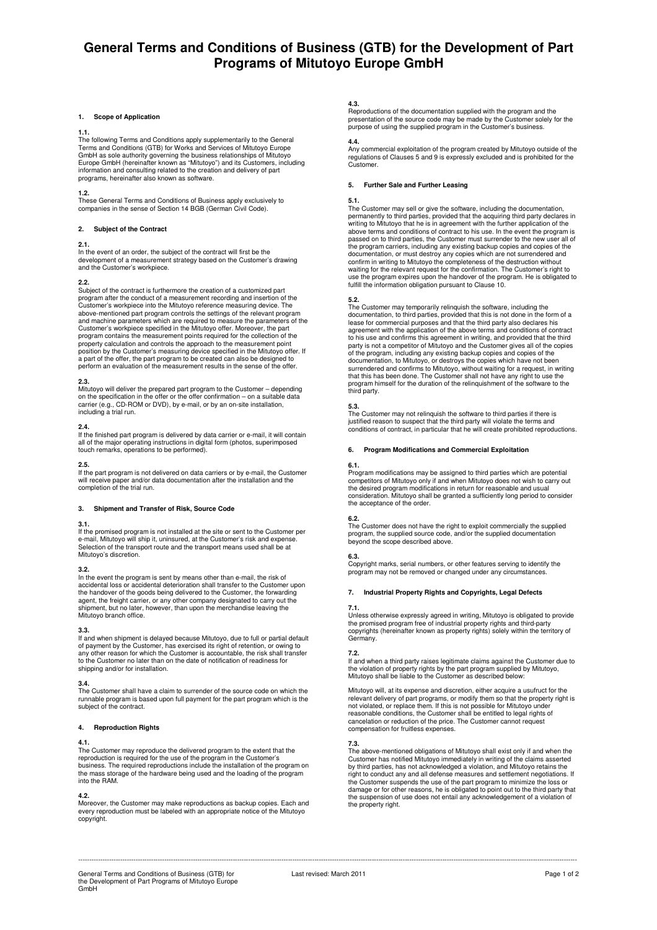# **General Terms and Conditions of Business (GTB) for the Development of Part Programs of Mitutoyo Europe GmbH**

### **1. Scope of Application**

1.1.<br>The following Terms and Conditions apply supplementarily to the General<br>Terms and Conditions (GTB) for Works and Services of Mitutoyo Europe<br>GmbH as sole authority governing the business relationships of Mitutoyo Europe GmbH (hereinafter known as "Mitutoyo") and its Customers, including information and consulting related to the creation and delivery of part programs, hereinafter also known as software.

**1.2.**<br>These General Terms and Conditions of Business apply exclusively to<br>companies in the sense of Section 14 BGB (German Civil Code).

# **2. Subject of the Contract**

# **2.1.**

In the event of an order, the subject of the contract will first be the development of a measurement strategy based on the Customer's drawing and the Customer's workpiece.

# **2.2.**

Subject of the contract is furthermore the creation of a customized part program after the conduct of a measurement recording and insertion of the Customer's workpiece into the Mitutoyo reference measuring device. The above-mentioned part program controls the settings of the relevant program and machine parameters which are required to measure the parameters of the Customer's workpiece specified in the Mitutoyo offer. Moreover, the part program contains the measurement points required for the collection of the<br>property calculation and controls the approach to the measurement point<br>position by the Customer's measuring device specified in the Mitutoyo offer

# **2.3.**

Mitutoyo will deliver the prepared part program to the Customer – depending<br>on the specification in the offer or the offer confirmation – on a suitable data<br>carrier (e.g., CD-ROM or DVD), by e-mail, or by an on-site instal including a trial run.

**2.4.**  If the finished part program is delivered by data carrier or e-mail, it will contain all of the major operating instructions in digital form (photos, superimposed touch remarks, operations to be performed).

**2.5.**  If the part program is not delivered on data carriers or by e-mail, the Customer will receive paper and/or data documentation after the installation and the completion of the trial run.

# **3. Shipment and Transfer of Risk, Source Code**

**3.1.**<br>If the promised program is not installed at the site or sent to the Customer per<br>e-mail, Mitutoyo will ship it, uninsured, at the Customer's risk and expense.<br>Selection of the transport route and the transport means Mitutoyo's discretion.

**3.2.**  In the event the program is sent by means other than e-mail, the risk of accidental loss or accidental deterioration shall transfer to the Customer upon the handover of the goods being delivered to the Customer, the forwarding agent, the freight carrier, or any other company designated to carry out the shipment, but no later, however, than upon the merchandise leaving the Mitutoyo branch office.

# **3.3.**

If and when shipment is delayed because Mitutoyo, due to full or partial default of payment by the Customer, has exercised its right of retention, or owing to<br>any other reason for which the Customer is accountable, the risk shall transfer<br>to the Customer no later than on the date of notification of rea shipping and/or for installation.

# **3.4.**

The Customer shall have a claim to surrender of the source code on which the runnable program is based upon full payment for the part program which is the subject of the contract.

# **4. Reproduction Rights**

**4.1.**  The Customer may reproduce the delivered program to the extent that the reproduction is required for the use of the program in the Customer's business. The required reproductions include the installation of the program on the mass storage of the hardware being used and the loading of the program into the RAM.

# **4.2.**

Moreover, the Customer may make reproductions as backup copies. Each and every reproduction must be labeled with an appropriate notice of the Mitutoyo copyright.

**4.3.**  Reproductions of the documentation supplied with the program and the presentation of the source code may be made by the Customer solely for the purpose of using the supplied program in the Customer's business.

**4.4.**  Any commercial exploitation of the program created by Mitutoyo outside of the regulations of Clauses 5 and 9 is expressly excluded and is prohibited for the Customer.

# **5. Further Sale and Further Leasing**

**5.1.**  The Customer may sell or give the software, including the documentation, permanently to third parties, provided that the acquiring third party declares in writing to Mitutoyo that he is in agreement with the further application of the above terms and conditions of contract to his use. In the event the program is passed on to third parties, the Customer must surrender to the new user all of the program carriers, including any existing backup copies and copies of the documentation, or must destroy any copies which are not surrendered and confirm in writing to Mitutoyo the completeness of the destruction without waiting for the relevant request for the confirmation. The Customer's right to use the program expires upon the handover of the program. He is obligated to fulfill the information obligation pursuant to Clause 10.

# **5.2.**

The Customer may temporarily relinquish the software, including the documentation, to third parties, provided that this is not done in the form of a lease for commercial purposes and that the third party also declares his agreement with the application of the above terms and conditions of contract<br>to his use and confirms this agreement in writing, and provided that the third<br>party is not a competitor of Mitutoyo and the Customer gives all o documentation, to Mitutoyo, or destroys the copies which have not been<br>surrendered and confirms to Mitutoyo, without waiting for a request, in writing<br>that this has been done. The Customer shall not have any right to use t

### **5.3.**

The Customer may not relinquish the software to third parties if there is<br>justified reason to suspect that the third party will violate the terms and<br>conditions of contract, in particular that he will create prohibited rep

### **6. Program Modifications and Commercial Exploitation**

### **6.1.**

Program modifications may be assigned to third parties which are potential<br>competitors of Mitutoyo only if and when Mitutoyo does not wish to carry out<br>the desired program modifications in return for reasonable and usual consideration. Mitutoyo shall be granted a sufficiently long period to consider the acceptance of the order.

**6.2.**  The Customer does not have the right to exploit commercially the supplied program, the supplied source code, and/or the supplied documentation beyond the scope described above.

**6.3.**<br>Copyright marks, serial numbers, or other features serving to identify the program may not be removed or changed under any circumstances.

# **7. Industrial Property Rights and Copyrights, Legal Defects**

**7.1.**<br>Unless otherwise expressly agreed in writing, Mitutoyo is obligated to provide<br>the promised program free of industrial property rights and third-party copyrights (hereinafter known as property rights) solely within the territory of Germany.

# **7.2.**

If and when a third party raises legitimate claims against the Customer due to the violation of property rights by the part program supplied by Mitutoyo, Mitutoyo shall be liable to the Customer as described below:

Mitutoyo will, at its expense and discretion, either acquire a usufruct for the relevant delivery of part programs, or modify them so that the property right is not violated, or replace them. If this is not possible for Mi

**7.3.**  The above-mentioned obligations of Mitutoyo shall exist only if and when the Customer has notified Mitutoyo immediately in writing of the claims asserted by third parties, has not acknowledged a violation, and Mitutoyo retains the right to conduct any and all defense measures and settlement negotiations. If the Customer suspends the use of the part program to minimize the loss or damage or for other reasons, he is obligated to point out to the third party that the suspension of use does not entail any acknowledgement of a violation of the property right.